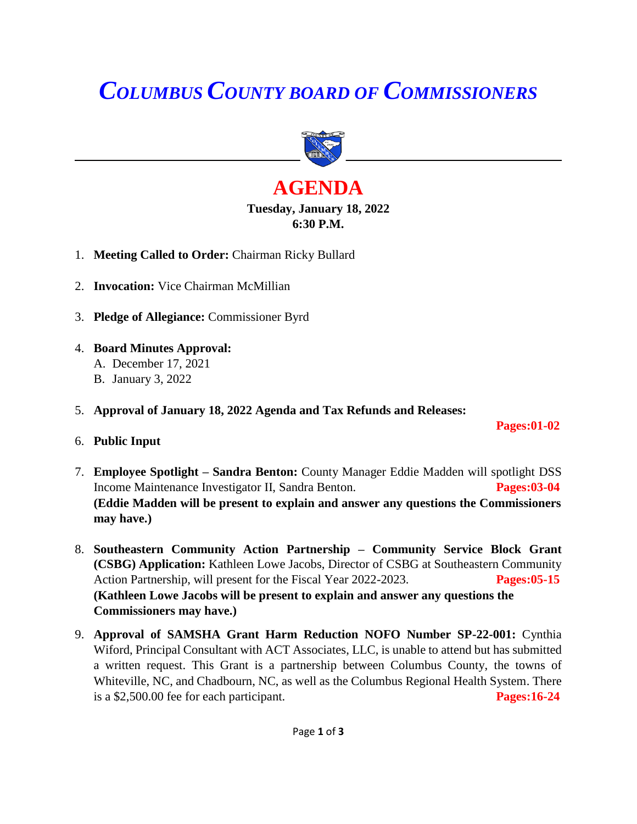# *COLUMBUS COUNTY BOARD OF COMMISSIONERS*



## **AGENDA Tuesday, January 18, 2022 6:30 P.M.**

- 1. **Meeting Called to Order:** Chairman Ricky Bullard
- 2. **Invocation:** Vice Chairman McMillian
- 3. **Pledge of Allegiance:** Commissioner Byrd
- 4. **Board Minutes Approval:** A. December 17, 2021
	- B. January 3, 2022
- 5. **Approval of January 18, 2022 Agenda and Tax Refunds and Releases:**

### 6. **Public Input**

7. **Employee Spotlight – Sandra Benton:** County Manager Eddie Madden will spotlight DSS Income Maintenance Investigator II, Sandra Benton. **Pages:03-04 (Eddie Madden will be present to explain and answer any questions the Commissioners may have.)**

 **Pages:01-02** 

- 8. **Southeastern Community Action Partnership – Community Service Block Grant (CSBG) Application:** Kathleen Lowe Jacobs, Director of CSBG at Southeastern Community Action Partnership, will present for the Fiscal Year 2022-2023. **Pages:05-15 (Kathleen Lowe Jacobs will be present to explain and answer any questions the Commissioners may have.)**
- 9. **Approval of SAMSHA Grant Harm Reduction NOFO Number SP-22-001:** Cynthia Wiford, Principal Consultant with ACT Associates, LLC, is unable to attend but has submitted a written request. This Grant is a partnership between Columbus County, the towns of Whiteville, NC, and Chadbourn, NC, as well as the Columbus Regional Health System. There is a \$2,500.00 fee for each participant. **Pages:16-24**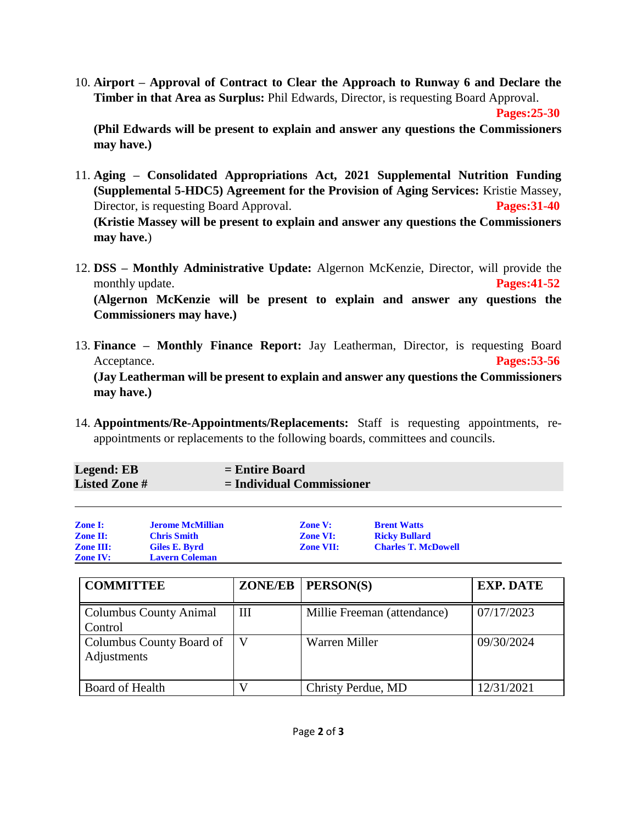10. **Airport – Approval of Contract to Clear the Approach to Runway 6 and Declare the Timber in that Area as Surplus:** Phil Edwards, Director, is requesting Board Approval.

 **Pages:25-30**

**(Phil Edwards will be present to explain and answer any questions the Commissioners may have.)**

- 11. **Aging – Consolidated Appropriations Act, 2021 Supplemental Nutrition Funding (Supplemental 5-HDC5) Agreement for the Provision of Aging Services:** Kristie Massey, Director, is requesting Board Approval. **Pages: 31-40 (Kristie Massey will be present to explain and answer any questions the Commissioners may have.**)
- 12. **DSS – Monthly Administrative Update:** Algernon McKenzie, Director, will provide the monthly update. **Pages:41-52 (Algernon McKenzie will be present to explain and answer any questions the Commissioners may have.)**
- 13. **Finance – Monthly Finance Report:** Jay Leatherman, Director, is requesting Board Acceptance. **Pages:53-56 (Jay Leatherman will be present to explain and answer any questions the Commissioners may have.)**
- 14. **Appointments/Re-Appointments/Replacements:** Staff is requesting appointments, reappointments or replacements to the following boards, committees and councils.

| Legend: EB          | $=$ Entire Board            |
|---------------------|-----------------------------|
| <b>Listed Zone#</b> | $=$ Individual Commissioner |
|                     |                             |

| <b>Zone I:</b>   | <b>Jerome McMillian</b> | <b>Zone V:</b>   | <b>Brent Watts</b>         |
|------------------|-------------------------|------------------|----------------------------|
| <b>Zone II:</b>  | <b>Chris Smith</b>      | <b>Zone VI:</b>  | <b>Ricky Bullard</b>       |
| <b>Zone III:</b> | Giles E. Byrd           | <b>Zone VII:</b> | <b>Charles T. McDowell</b> |
| <b>Zone IV:</b>  | <b>Lavern Coleman</b>   |                  |                            |

| <b>COMMITTEE</b>                         |   | $ZONE/EB$   $PERSON(S)$     | <b>EXP. DATE</b> |
|------------------------------------------|---|-----------------------------|------------------|
| <b>Columbus County Animal</b><br>Control | Ш | Millie Freeman (attendance) | 07/17/2023       |
| Columbus County Board of<br>Adjustments  | V | Warren Miller               | 09/30/2024       |
| Board of Health                          |   | Christy Perdue, MD          | 12/31/2021       |